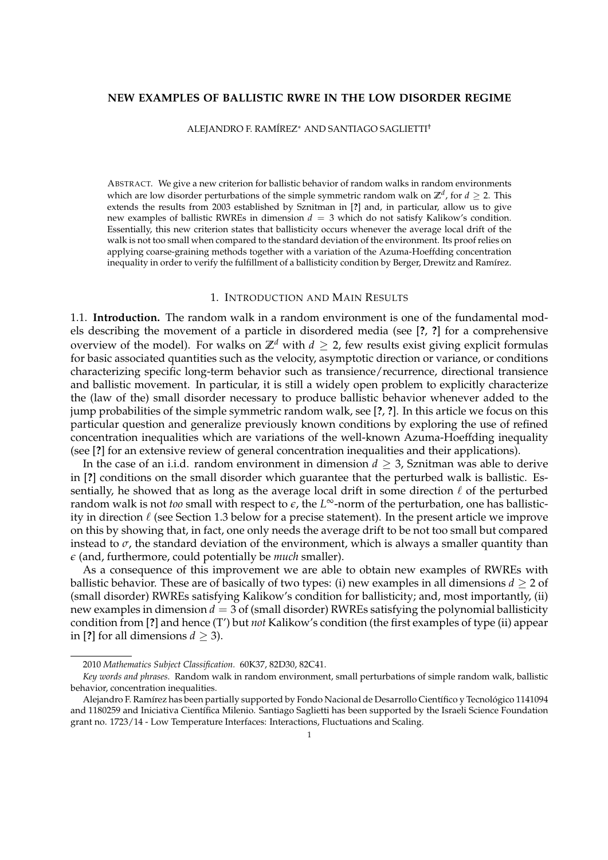# **NEW EXAMPLES OF BALLISTIC RWRE IN THE LOW DISORDER REGIME**

ALEJANDRO F. RAMÍREZ<sup>∗</sup> AND SANTIAGO SAGLIETTI†

ABSTRACT. We give a new criterion for ballistic behavior of random walks in random environments which are low disorder perturbations of the simple symmetric random walk on  $\mathbb{Z}^d$ , for  $d \geq 2$ . This extends the results from 2003 established by Sznitman in [**?**] and, in particular, allow us to give new examples of ballistic RWREs in dimension  $d = 3$  which do not satisfy Kalikow's condition. Essentially, this new criterion states that ballisticity occurs whenever the average local drift of the walk is not too small when compared to the standard deviation of the environment. Its proof relies on applying coarse-graining methods together with a variation of the Azuma-Hoeffding concentration inequality in order to verify the fulfillment of a ballisticity condition by Berger, Drewitz and Ramírez.

## 1. INTRODUCTION AND MAIN RESULTS

1.1. **Introduction.** The random walk in a random environment is one of the fundamental models describing the movement of a particle in disordered media (see [**?**, **?**] for a comprehensive overview of the model). For walks on  $\mathbb{Z}^d$  with  $d \geq 2$ , few results exist giving explicit formulas for basic associated quantities such as the velocity, asymptotic direction or variance, or conditions characterizing specific long-term behavior such as transience/recurrence, directional transience and ballistic movement. In particular, it is still a widely open problem to explicitly characterize the (law of the) small disorder necessary to produce ballistic behavior whenever added to the jump probabilities of the simple symmetric random walk, see [**?**, **?**]. In this article we focus on this particular question and generalize previously known conditions by exploring the use of refined concentration inequalities which are variations of the well-known Azuma-Hoeffding inequality (see [**?**] for an extensive review of general concentration inequalities and their applications).

In the case of an i.i.d. random environment in dimension *d* ≥ 3, Sznitman was able to derive in [**?**] conditions on the small disorder which guarantee that the perturbed walk is ballistic. Essentially, he showed that as long as the average local drift in some direction  $\ell$  of the perturbed random walk is not *too* small with respect to *e*, the *L* <sup>∞</sup>-norm of the perturbation, one has ballisticity in direction  $\ell$  (see Section 1.3 below for a precise statement). In the present article we improve on this by showing that, in fact, one only needs the average drift to be not too small but compared instead to  $\sigma$ , the standard deviation of the environment, which is always a smaller quantity than *e* (and, furthermore, could potentially be *much* smaller).

As a consequence of this improvement we are able to obtain new examples of RWREs with ballistic behavior. These are of basically of two types: (i) new examples in all dimensions  $d \geq 2$  of (small disorder) RWREs satisfying Kalikow's condition for ballisticity; and, most importantly, (ii) new examples in dimension *d* = 3 of (small disorder) RWREs satisfying the polynomial ballisticity condition from [**?**] and hence (T') but *not* Kalikow's condition (the first examples of type (ii) appear in [?] for all dimensions  $d > 3$ ).

<sup>2010</sup> *Mathematics Subject Classification.* 60K37, 82D30, 82C41.

*Key words and phrases.* Random walk in random environment, small perturbations of simple random walk, ballistic behavior, concentration inequalities.

Alejandro F. Ramírez has been partially supported by Fondo Nacional de Desarrollo Científico y Tecnológico 1141094 and 1180259 and Iniciativa Científica Milenio. Santiago Saglietti has been supported by the Israeli Science Foundation grant no. 1723/14 - Low Temperature Interfaces: Interactions, Fluctuations and Scaling.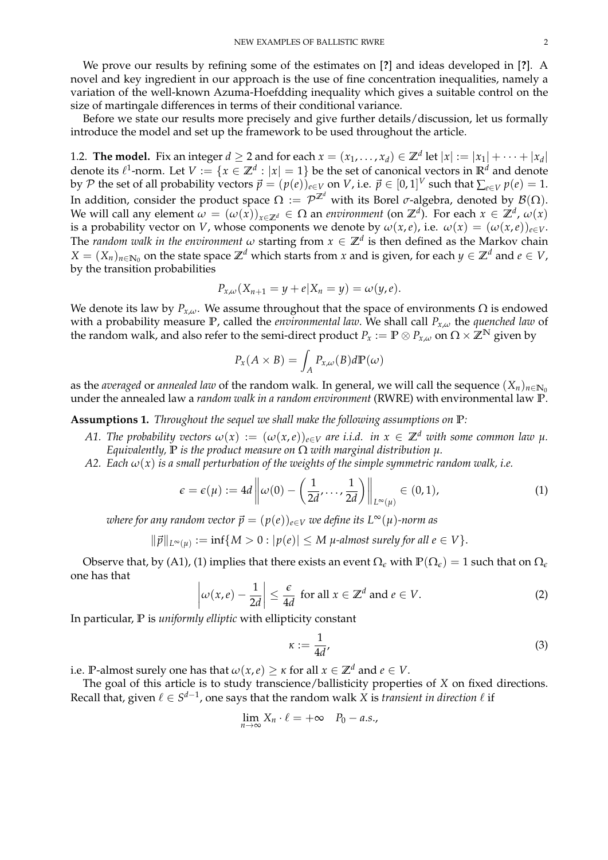We prove our results by refining some of the estimates on [**?**] and ideas developed in [**?**]. A novel and key ingredient in our approach is the use of fine concentration inequalities, namely a variation of the well-known Azuma-Hoefdding inequality which gives a suitable control on the size of martingale differences in terms of their conditional variance.

Before we state our results more precisely and give further details/discussion, let us formally introduce the model and set up the framework to be used throughout the article.

1.2. **The model.** Fix an integer  $d \geq 2$  and for each  $x = (x_1, \ldots, x_d) \in \mathbb{Z}^d$  let  $|x| := |x_1| + \cdots + |x_d|$ denote its  $\ell^1$ -norm. Let  $V := \{x \in \mathbb{Z}^d : |x| = 1\}$  be the set of canonical vectors in  $\mathbb{R}^d$  and denote by  $\mathcal P$  the set of all probability vectors  $\vec p = (p(e))_{e\in V}$  on  $V$ , i.e.  $\vec p\in [0,1]^V$  such that  $\sum_{e\in V} p(e) = 1$ . In addition, consider the product space  $\Omega:=\mathcal P^{\mathbb Z^d}$  with its Borel  $\sigma$ -algebra, denoted by  $\mathcal B(\Omega).$ We will call any element  $\omega = (\omega(x))_{x \in \mathbb{Z}^d} \in \Omega$  an *environment* (on  $\mathbb{Z}^d$ ). For each  $x \in \mathbb{Z}^d$ ,  $\omega(x)$ is a probability vector on *V*, whose components we denote by  $\omega(x, e)$ , i.e.  $\omega(x) = (\omega(x, e))_{e \in V}$ . The *random walk in the environment*  $\omega$  starting from  $x \in \mathbb{Z}^d$  is then defined as the Markov chain  $X = (X_n)_{n \in \mathbb{N}_0}$  on the state space  $\mathbb{Z}^d$  which starts from *x* and is given, for each  $y \in \mathbb{Z}^d$  and  $e \in V$ , by the transition probabilities

$$
P_{x,\omega}(X_{n+1}=y+e|X_n=y)=\omega(y,e).
$$

We denote its law by  $P_{x,\omega}$ . We assume throughout that the space of environments  $\Omega$  is endowed with a probability measure **P**, called the *environmental law*. We shall call *Px*,*<sup>ω</sup>* the *quenched law* of the random walk, and also refer to the semi-direct product  $P_x := \mathbb{P} \otimes P_{x,\omega}$  on  $\Omega \times \mathbb{Z}^N$  given by

$$
P_{x}(A \times B) = \int_{A} P_{x,\omega}(B) d\mathbb{P}(\omega)
$$

as the *averaged* or *annealed law* of the random walk. In general, we will call the sequence  $(X_n)_{n\in\mathbb{N}_0}$ under the annealed law a *random walk in a random environment* (RWRE) with environmental law **P**.

**Assumptions 1.** *Throughout the sequel we shall make the following assumptions on* **P***:*

- *A1. The probability vectors*  $\omega(x) := (\omega(x,e))_{e \in V}$  *are i.i.d. in*  $x \in \mathbb{Z}^d$  *with some common law*  $\mu$ *. Equivalently,* **P** *is the product measure on* Ω *with marginal distribution µ.*
- *A2.* Each  $\omega(x)$  is a small perturbation of the weights of the simple symmetric random walk, i.e.

$$
\epsilon = \epsilon(\mu) := 4d \left\| \omega(0) - \left( \frac{1}{2d}, \dots, \frac{1}{2d} \right) \right\|_{L^{\infty}(\mu)} \in (0, 1), \tag{1}
$$

*where for any random vector*  $\vec{p} = (p(e))_{e \in V}$  *we define its*  $L^{\infty}(u)$ *-norm as* 

$$
\|\vec{p}\|_{L^{\infty}(\mu)} := \inf\{M > 0 : |p(e)| \leq M \text{ $\mu$-almost surely for all } e \in V\}.
$$

Observe that, by (A1), (1) implies that there exists an event  $\Omega_{\epsilon}$  with  $\mathbb{P}(\Omega_{\epsilon}) = 1$  such that on  $\Omega_{\epsilon}$ one has that

$$
\left|\omega(x,e)-\frac{1}{2d}\right| \leq \frac{\epsilon}{4d} \text{ for all } x \in \mathbb{Z}^d \text{ and } e \in V. \tag{2}
$$

In particular, **P** is *uniformly elliptic* with ellipticity constant

$$
\kappa := \frac{1}{4d'},\tag{3}
$$

i.e. **P**-almost surely one has that  $\omega(x, e) \geq \kappa$  for all  $x \in \mathbb{Z}^d$  and  $e \in V$ .

The goal of this article is to study transcience/ballisticity properties of *X* on fixed directions. Recall that, given  $\ell \in S^{d-1}$ , one says that the random walk X is *transient in direction*  $\ell$  if

$$
\lim_{n\to\infty}X_n\cdot\ell=+\infty\quad P_0-a.s.,
$$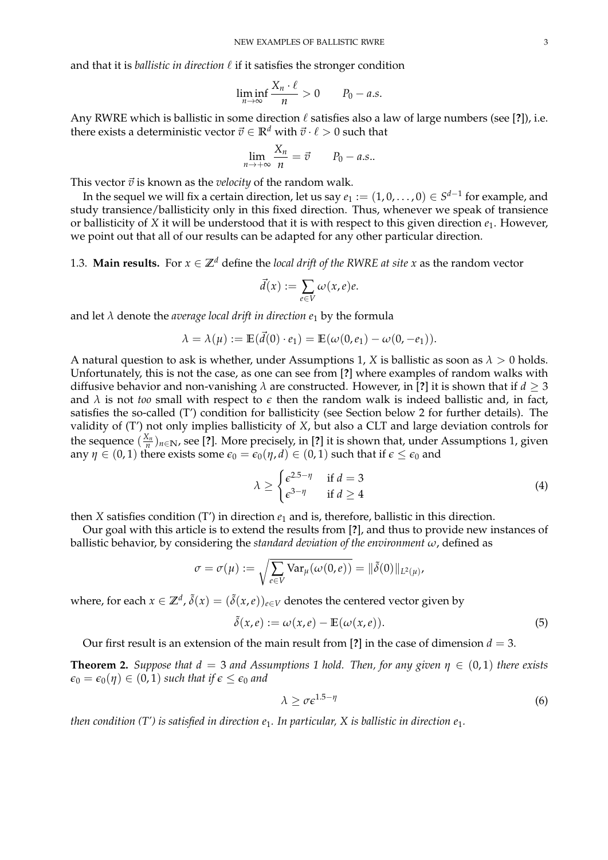and that it is *ballistic in direction*  $\ell$  if it satisfies the stronger condition

$$
\liminf_{n\to\infty}\frac{X_n\cdot\ell}{n}>0\qquad P_0-a.s.
$$

Any RWRE which is ballistic in some direction  $\ell$  satisfies also a law of large numbers (see [?]), i.e. there exists a deterministic vector  $\vec{v} \in \mathbb{R}^d$  with  $\vec{v} \cdot \ell > 0$  such that

$$
\lim_{n \to +\infty} \frac{X_n}{n} = \vec{v} \qquad P_0 - a.s..
$$

This vector  $\vec{v}$  is known as the *velocity* of the random walk.

In the sequel we will fix a certain direction, let us say  $e_1 := (1,0,\ldots,0) \in S^{d-1}$  for example, and study transience/ballisticity only in this fixed direction. Thus, whenever we speak of transience or ballisticity of *X* it will be understood that it is with respect to this given direction *e*1. However, we point out that all of our results can be adapted for any other particular direction.

1.3. **Main results.** For  $x \in \mathbb{Z}^d$  define the *local drift of the RWRE at site* x as the random vector

$$
\vec{d}(x) := \sum_{e \in V} \omega(x, e)e.
$$

and let  $\lambda$  denote the *average local drift in direction e*<sub>1</sub> by the formula

$$
\lambda = \lambda(\mu) := \mathbb{E}(\vec{d}(0) \cdot e_1) = \mathbb{E}(\omega(0, e_1) - \omega(0, -e_1)).
$$

A natural question to ask is whether, under Assumptions 1, *X* is ballistic as soon as  $\lambda > 0$  holds. Unfortunately, this is not the case, as one can see from [**?**] where examples of random walks with diffusive behavior and non-vanishing  $\lambda$  are constructed. However, in [?] it is shown that if  $d \geq 3$ and  $\lambda$  is not *too* small with respect to  $\epsilon$  then the random walk is indeed ballistic and, in fact, satisfies the so-called (T') condition for ballisticity (see Section below 2 for further details). The validity of (T') not only implies ballisticity of *X*, but also a CLT and large deviation controls for the sequence  $(\frac{X_n}{n})_{n\in\mathbb{N}}$ , see [?]. More precisely, in [?] it is shown that, under Assumptions 1, given any  $\eta \in (0,1)$  there exists some  $\epsilon_0 = \epsilon_0(\eta, d) \in (0,1)$  such that if  $\epsilon \leq \epsilon_0$  and

$$
\lambda \ge \begin{cases} \epsilon^{2.5-\eta} & \text{if } d = 3\\ \epsilon^{3-\eta} & \text{if } d \ge 4 \end{cases}
$$
 (4)

then *X* satisfies condition (T') in direction  $e_1$  and is, therefore, ballistic in this direction.

Our goal with this article is to extend the results from [**?**], and thus to provide new instances of ballistic behavior, by considering the *standard deviation of the environment ω*, defined as

$$
\sigma = \sigma(\mu) := \sqrt{\sum_{e \in V} \text{Var}_{\mu}(\omega(0,e))} = ||\tilde{\delta}(0)||_{L^2(\mu)},
$$

where, for each  $x\in\mathbb{Z}^d$  ,  $\tilde{\delta}(x)=(\tilde{\delta}(x,e))_{e\in V}$  denotes the centered vector given by

$$
\tilde{\delta}(x,e) := \omega(x,e) - \mathbb{E}(\omega(x,e)).
$$
\n(5)

Our first result is an extension of the main result from [?] in the case of dimension  $d = 3$ .

**Theorem 2.** *Suppose that*  $d = 3$  *and Assumptions 1 hold. Then, for any given*  $\eta \in (0,1)$  *there exists*  $\epsilon_0 = \epsilon_0(\eta) \in (0,1)$  *such that if*  $\epsilon \leq \epsilon_0$  *and* 

$$
\lambda \ge \sigma \epsilon^{1.5 - \eta} \tag{6}
$$

*then condition (T') is satisfied in direction e*1*. In particular, X is ballistic in direction e*1*.*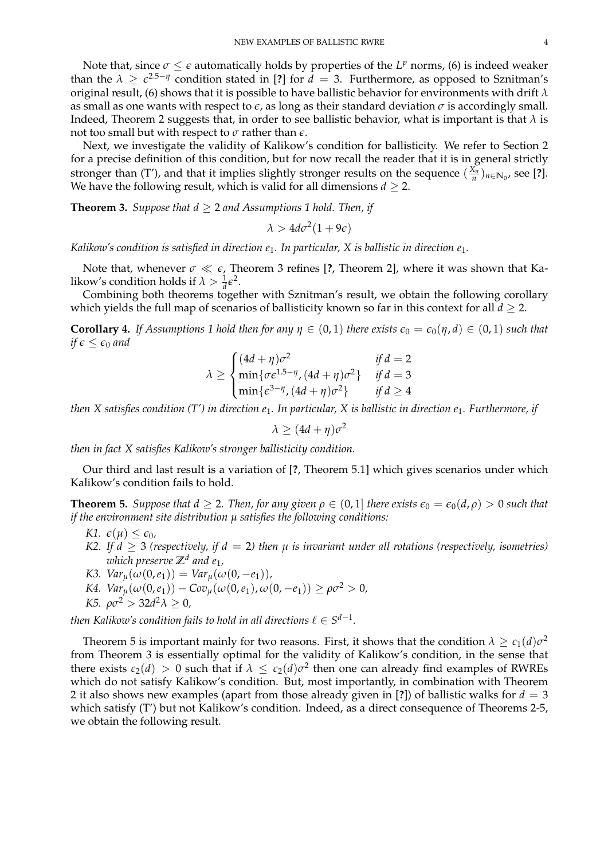Note that, since *σ* ≤ *ε* automatically holds by properties of the *L<sup>p</sup>* norms, (6) is indeed weaker than the  $\lambda \geq \epsilon^{2.5 - \eta}$  condition stated in [?] for  $d = 3$ . Furthermore, as opposed to Sznitman's original result, (6) shows that it is possible to have ballistic behavior for environments with drift *λ* as small as one wants with respect to  $\epsilon$ , as long as their standard deviation  $\sigma$  is accordingly small. Indeed, Theorem 2 suggests that, in order to see ballistic behavior, what is important is that  $\lambda$  is not too small but with respect to *σ* rather than *e*.

Next, we investigate the validity of Kalikow's condition for ballisticity. We refer to Section 2 for a precise definition of this condition, but for now recall the reader that it is in general strictly stronger than (T'), and that it implies slightly stronger results on the sequence  $(\frac{X_n}{n})_{n \in \mathbb{N}_0}$ , see [?]. We have the following result, which is valid for all dimensions  $d > 2$ .

**Theorem 3.** *Suppose that*  $d \geq 2$  *and Assumptions 1 hold. Then, if* 

 $\lambda > 4d\sigma^2(1+9\epsilon)$ 

*Kalikow's condition is satisfied in direction e*1*. In particular, X is ballistic in direction e*1*.*

Note that, whenever *σ e*, Theorem 3 refines [**?**, Theorem 2], where it was shown that Kalikow's condition holds if  $\lambda > \frac{1}{d} \epsilon^2$ .

Combining both theorems together with Sznitman's result, we obtain the following corollary which yields the full map of scenarios of ballisticity known so far in this context for all *d* ≥ 2.

**Corollary 4.** *If Assumptions 1 hold then for any*  $\eta \in (0,1)$  *there exists*  $\epsilon_0 = \epsilon_0(\eta, d) \in (0,1)$  *such that if*  $\epsilon \leq \epsilon_0$  *and* 

$$
\lambda \ge \begin{cases}\n(4d + \eta)\sigma^2 & \text{if } d = 2 \\
\min{\{\sigma \varepsilon^{1.5 - \eta}, (4d + \eta)\sigma^2\}} & \text{if } d = 3 \\
\min{\{\varepsilon^{3 - \eta}, (4d + \eta)\sigma^2\}} & \text{if } d \ge 4\n\end{cases}
$$

*then X satisfies condition (T') in direction e*1*. In particular, X is ballistic in direction e*1*. Furthermore, if*

 $\lambda \geq (4d + \eta)\sigma^2$ 

*then in fact X satisfies Kalikow's stronger ballisticity condition.*

Our third and last result is a variation of [**?**, Theorem 5.1] which gives scenarios under which Kalikow's condition fails to hold.

**Theorem 5.** *Suppose that*  $d \geq 2$ *. Then, for any given*  $\rho \in (0,1]$  *there exists*  $\epsilon_0 = \epsilon_0(d,\rho) > 0$  *such that if the environment site distribution µ satisfies the following conditions:*

- *K1.*  $\epsilon(\mu) \leq \epsilon_0$ ,
- *K2. If*  $d \geq 3$  *(respectively, if*  $d = 2$ *) then*  $\mu$  *is invariant under all rotations (respectively, isometries) which preserve* **Z***<sup>d</sup> and e*1*,*
- *K3.*  $Var_{\mu}(\omega(0, e_1)) = Var_{\mu}(\omega(0, -e_1))$ *,*
- *K4.*  $Var_u(\omega(0, e_1)) Cov_u(\omega(0, e_1), \omega(0, -e_1)) \ge \rho \sigma^2 > 0$ ,

$$
K5. \ \rho \sigma^2 > 32d^2 \lambda \geq 0,
$$

then Kalikow's condition fails to hold in all directions  $\ell \in S^{d-1}.$ 

Theorem 5 is important mainly for two reasons. First, it shows that the condition  $\lambda \geq c_1(d)\sigma^2$ from Theorem 3 is essentially optimal for the validity of Kalikow's condition, in the sense that there exists  $c_2(d) > 0$  such that if  $\lambda \leq c_2(d)\sigma^2$  then one can already find examples of RWREs which do not satisfy Kalikow's condition. But, most importantly, in combination with Theorem 2 it also shows new examples (apart from those already given in [**?**]) of ballistic walks for *d* = 3 which satisfy (T') but not Kalikow's condition. Indeed, as a direct consequence of Theorems 2-5, we obtain the following result.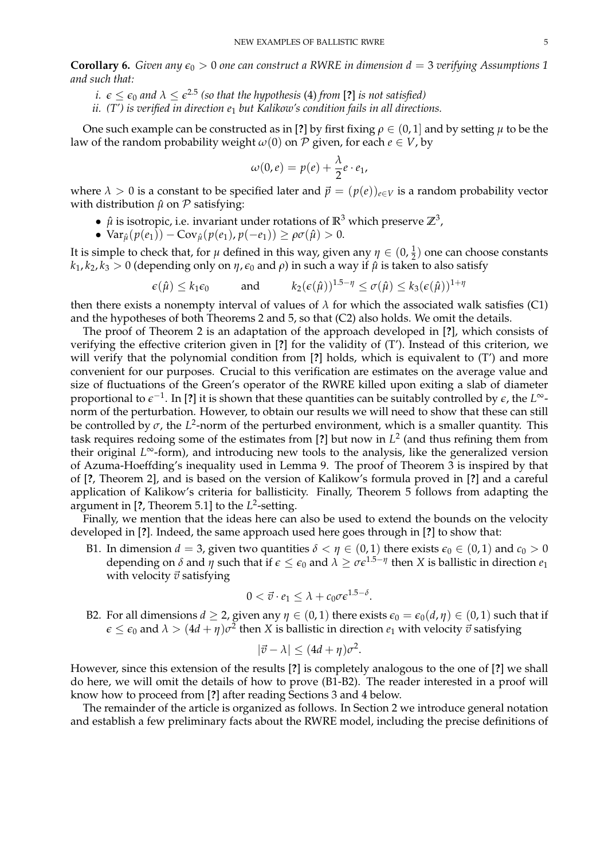**Corollary 6.** *Given any*  $\epsilon_0 > 0$  *one can construct a RWRE in dimension*  $d = 3$  *verifying Assumptions 1 and such that:*

 $i.$   $\epsilon \leq \epsilon_0$  and  $\lambda \leq \epsilon^{2.5}$  (so that the hypothesis (4) from [?] is not satisfied)

*ii. (T') is verified in direction e*<sup>1</sup> *but Kalikow's condition fails in all directions.*

One such example can be constructed as in [?] by first fixing  $\rho \in (0,1]$  and by setting  $\mu$  to be the law of the random probability weight  $\omega(0)$  on P given, for each  $e \in V$ , by

$$
\omega(0,e) = p(e) + \frac{\lambda}{2}e \cdot e_1,
$$

where  $\lambda > 0$  is a constant to be specified later and  $\vec{p} = (p(e))_{e \in V}$  is a random probability vector with distribution  $\hat{\mu}$  on  $\hat{\mu}$  satisfying:

- $\hat{\mu}$  is isotropic, i.e. invariant under rotations of  $\mathbb{R}^3$  which preserve  $\mathbb{Z}^3$ ,
- $Var_{\hat{\mu}}(p(e_1)) Cov_{\hat{\mu}}(p(e_1), p(-e_1)) \ge \rho \sigma(\hat{\mu}) > 0.$

It is simple to check that, for *µ* defined in this way, given any  $\eta \in (0, \frac{1}{2})$  one can choose constants  $k_1, k_2, k_3 > 0$  (depending only on  $\eta$ ,  $\epsilon_0$  and  $\rho$ ) in such a way if  $\hat{\mu}$  is taken to also satisfy

$$
\epsilon(\hat{\mu}) \leq k_1 \epsilon_0
$$
 and  $k_2(\epsilon(\hat{\mu}))^{1.5-\eta} \leq \sigma(\hat{\mu}) \leq k_3(\epsilon(\hat{\mu}))^{1+\eta}$ 

then there exists a nonempty interval of values of  $\lambda$  for which the associated walk satisfies (C1) and the hypotheses of both Theorems 2 and 5, so that (C2) also holds. We omit the details.

The proof of Theorem 2 is an adaptation of the approach developed in [**?**], which consists of verifying the effective criterion given in [**?**] for the validity of (T'). Instead of this criterion, we will verify that the polynomial condition from [**?**] holds, which is equivalent to (T') and more convenient for our purposes. Crucial to this verification are estimates on the average value and size of fluctuations of the Green's operator of the RWRE killed upon exiting a slab of diameter proportional to  $\epsilon^{-1}$ . In [?] it is shown that these quantities can be suitably controlled by  $\epsilon$ , the *L*∞norm of the perturbation. However, to obtain our results we will need to show that these can still be controlled by  $\sigma$ , the  $L^2$ -norm of the perturbed environment, which is a smaller quantity. This task requires redoing some of the estimates from [**?**] but now in *L* 2 (and thus refining them from their original *L* <sup>∞</sup>-form), and introducing new tools to the analysis, like the generalized version of Azuma-Hoeffding's inequality used in Lemma 9. The proof of Theorem 3 is inspired by that of [**?**, Theorem 2], and is based on the version of Kalikow's formula proved in [**?**] and a careful application of Kalikow's criteria for ballisticity. Finally, Theorem 5 follows from adapting the argument in [**?**, Theorem 5.1] to the *L* 2 -setting.

Finally, we mention that the ideas here can also be used to extend the bounds on the velocity developed in [**?**]. Indeed, the same approach used here goes through in [**?**] to show that:

B1. In dimension  $d = 3$ , given two quantities  $\delta < \eta \in (0,1)$  there exists  $\epsilon_0 \in (0,1)$  and  $c_0 > 0$ depending on  $\delta$  and  $\eta$  such that if  $\epsilon \leq \epsilon_0$  and  $\lambda \geq \sigma \epsilon^{1.5-\eta}$  then *X* is ballistic in direction  $e_1$ with velocity  $\vec{v}$  satisfying

$$
0<\vec{v}\cdot e_1\leq \lambda+c_0\sigma\epsilon^{1.5-\delta}.
$$

B2. For all dimensions *d*  $\geq$  2, given any *η*  $\in$  (0, 1) there exists  $\epsilon_0 = \epsilon_0(d, \eta) \in$  (0, 1) such that if  $\epsilon \leq \epsilon_0$  and  $\lambda > (4d+\eta) \sigma^2$  then  $X$  is ballistic in direction  $e_1$  with velocity  $\vec{v}$  satisfying

$$
|\vec{v} - \lambda| \le (4d + \eta)\sigma^2.
$$

However, since this extension of the results [**?**] is completely analogous to the one of [**?**] we shall do here, we will omit the details of how to prove (B1-B2). The reader interested in a proof will know how to proceed from [**?**] after reading Sections 3 and 4 below.

The remainder of the article is organized as follows. In Section 2 we introduce general notation and establish a few preliminary facts about the RWRE model, including the precise definitions of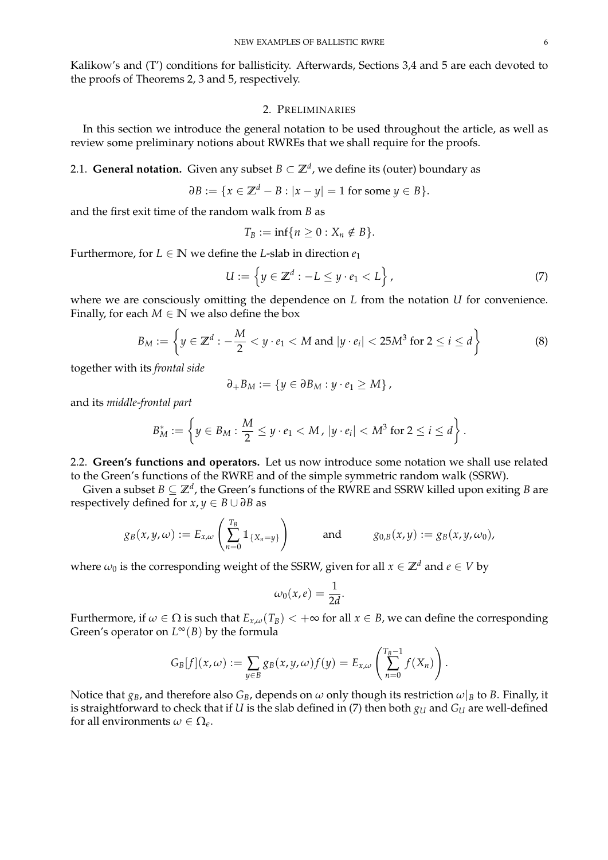Kalikow's and (T') conditions for ballisticity. Afterwards, Sections 3,4 and 5 are each devoted to the proofs of Theorems 2, 3 and 5, respectively.

#### 2. PRELIMINARIES

In this section we introduce the general notation to be used throughout the article, as well as review some preliminary notions about RWREs that we shall require for the proofs.

# 2.1. **General notation.** Given any subset  $B \subset \mathbb{Z}^d$ , we define its (outer) boundary as

$$
\partial B := \{x \in \mathbb{Z}^d - B : |x - y| = 1 \text{ for some } y \in B\}.
$$

and the first exit time of the random walk from *B* as

$$
T_B := \inf\{n \geq 0 : X_n \notin B\}.
$$

Furthermore, for  $L \in \mathbb{N}$  we define the *L*-slab in direction  $e_1$ 

$$
U := \left\{ y \in \mathbb{Z}^d : -L \le y \cdot e_1 < L \right\},\tag{7}
$$

where we are consciously omitting the dependence on *L* from the notation *U* for convenience. Finally, for each  $M \in \mathbb{N}$  we also define the box

$$
B_M := \left\{ y \in \mathbb{Z}^d : -\frac{M}{2} < y \cdot e_1 < M \text{ and } |y \cdot e_i| < 25M^3 \text{ for } 2 \leq i \leq d \right\} \tag{8}
$$

together with its *frontal side*

$$
\partial_{+}B_{M}:=\left\{ y\in\partial B_{M}:y\cdot e_{1}\geq M\right\} ,
$$

and its *middle-frontal part*

$$
B_M^* := \left\{ y \in B_M : \frac{M}{2} \leq y \cdot e_1 < M \text{ , } |y \cdot e_i| < M^3 \text{ for } 2 \leq i \leq d \right\}.
$$

2.2. **Green's functions and operators.** Let us now introduce some notation we shall use related to the Green's functions of the RWRE and of the simple symmetric random walk (SSRW).

Given a subset  $B\subseteq\mathbb{Z}^d$  , the Green's functions of the RWRE and SSRW killed upon exiting  $B$  are respectively defined for  $x, y \in B \cup \partial B$  as

$$
g_B(x,y,\omega) := E_{x,\omega}\left(\sum_{n=0}^{T_B} \mathbb{1}_{\{X_n=y\}}\right) \quad \text{and} \quad g_{0,B}(x,y) := g_B(x,y,\omega_0),
$$

where  $\omega_0$  is the corresponding weight of the SSRW, given for all  $x \in \mathbb{Z}^d$  and  $e \in V$  by

$$
\omega_0(x,e)=\frac{1}{2d}.
$$

Furthermore, if  $\omega \in \Omega$  is such that  $E_{x,\omega}(T_B) < +\infty$  for all  $x \in B$ , we can define the corresponding Green's operator on *L* <sup>∞</sup>(*B*) by the formula

$$
G_B[f](x,\omega) := \sum_{y\in B} g_B(x,y,\omega) f(y) = E_{x,\omega} \left( \sum_{n=0}^{T_B-1} f(X_n) \right).
$$

Notice that  $g_B$ , and therefore also  $G_B$ , depends on  $\omega$  only though its restriction  $\omega|_B$  to *B*. Finally, it is straightforward to check that if *U* is the slab defined in (7) then both  $g<sub>U</sub>$  and  $G<sub>U</sub>$  are well-defined for all environments  $\omega \in \Omega_{\epsilon}$ .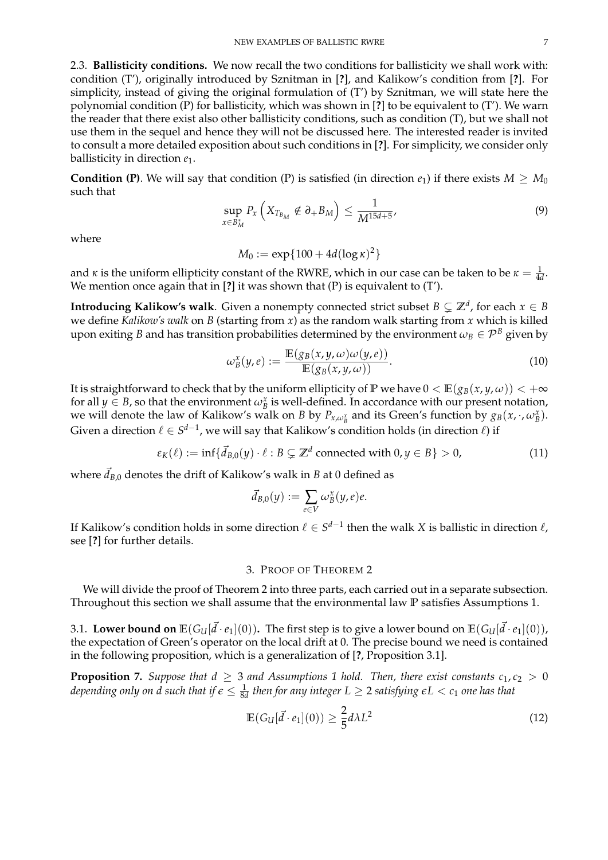2.3. **Ballisticity conditions.** We now recall the two conditions for ballisticity we shall work with: condition (T'), originally introduced by Sznitman in [**?**], and Kalikow's condition from [**?**]. For simplicity, instead of giving the original formulation of (T') by Sznitman, we will state here the polynomial condition (P) for ballisticity, which was shown in [**?**] to be equivalent to (T'). We warn the reader that there exist also other ballisticity conditions, such as condition (T), but we shall not use them in the sequel and hence they will not be discussed here. The interested reader is invited to consult a more detailed exposition about such conditions in [**?**]. For simplicity, we consider only ballisticity in direction *e*1.

**Condition (P)**. We will say that condition (P) is satisfied (in direction  $e_1$ ) if there exists  $M \geq M_0$ such that

$$
\sup_{x \in B_{M}^{*}} P_{x} \left( X_{T_{B_{M}}} \notin \partial_{+} B_{M} \right) \leq \frac{1}{M^{15d+5}}, \tag{9}
$$

where

 $M_0 := \exp\{100 + 4d(\log \kappa)^2\}$ 

and *κ* is the uniform ellipticity constant of the RWRE, which in our case can be taken to be  $\kappa = \frac{1}{4d}$ . We mention once again that in [**?**] it was shown that (P) is equivalent to (T').

**Introducing Kalikow's walk**. Given a nonempty connected strict subset  $B \subsetneq \mathbb{Z}^d$ , for each  $x \in B$ we define *Kalikow's walk* on *B* (starting from *x*) as the random walk starting from *x* which is killed upon exiting *B* and has transition probabilities determined by the environment  $\omega_B \in \mathcal{P}^B$  given by

$$
\omega_B^x(y,e) := \frac{\mathbb{E}(g_B(x,y,\omega)\omega(y,e))}{\mathbb{E}(g_B(x,y,\omega))}.
$$
\n(10)

It is straightforward to check that by the uniform ellipticity of **P** we have  $0 < \mathbb{E}(g_B(x, y, \omega)) < +\infty$ for all  $y \in B$ , so that the environment  $\omega_B^x$  is well-defined. In accordance with our present notation, we will denote the law of Kalikow's walk on *B* by  $P_{x,\omega_B^x}$  and its Green's function by  $g_B(x, \cdot, \omega_B^x)$ . Given a direction  $\ell \in S^{d-1}$ , we will say that Kalikow's condition holds (in direction  $\ell$ ) if

$$
\varepsilon_K(\ell) := \inf \{ \vec{d}_{B,0}(y) \cdot \ell : B \subsetneq \mathbb{Z}^d \text{ connected with } 0, y \in B \} > 0,
$$
 (11)

where  $\vec{d}_{B,0}$  denotes the drift of Kalikow's walk in  $B$  at  $0$  defined as

$$
\vec{d}_{B,0}(y) := \sum_{e \in V} \omega_B^x(y,e)e.
$$

If Kalikow's condition holds in some direction  $\ell \in S^{d-1}$  then the walk X is ballistic in direction  $\ell$ , see [**?**] for further details.

## 3. PROOF OF THEOREM 2

We will divide the proof of Theorem 2 into three parts, each carried out in a separate subsection. Throughout this section we shall assume that the environmental law **P** satisfies Assumptions 1.

3.1. **Lower bound on**  $\mathbb{E}(G_U[\vec{d} \cdot e_1](0))$ . The first step is to give a lower bound on  $\mathbb{E}(G_U[\vec{d} \cdot e_1](0))$ , the expectation of Green's operator on the local drift at 0. The precise bound we need is contained in the following proposition, which is a generalization of [**?**, Proposition 3.1].

**Proposition 7.** *Suppose that*  $d \geq 3$  *and Assumptions 1 hold. Then, there exist constants*  $c_1, c_2 > 0$ depending only on d such that if  $\epsilon \leq \frac{1}{8d}$  then for any integer  $L \geq 2$  satisfying  $\epsilon L < c_1$  one has that

$$
\mathbb{E}(G_{U}[\vec{d}\cdot e_{1}](0)) \geq \frac{2}{5}d\lambda L^{2}
$$
\n(12)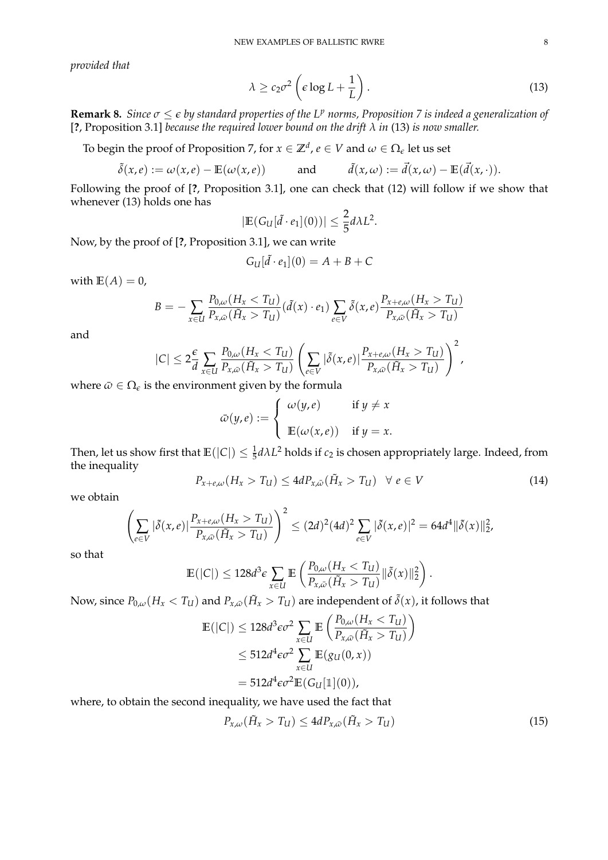*provided that*

$$
\lambda \ge c_2 \sigma^2 \left( \epsilon \log L + \frac{1}{L} \right). \tag{13}
$$

**Remark 8.** *Since*  $\sigma \leq \epsilon$  *by standard properties of the L<sup><i>p*</sup> norms, Proposition 7 is indeed a generalization of [**?**, Proposition 3.1] *because the required lower bound on the drift λ in* (13) *is now smaller.*

To begin the proof of Proposition 7, for  $x\in\mathbb{Z}^d$ ,  $e\in V$  and  $\omega\in\Omega_\epsilon$  let us set

$$
\tilde{\delta}(x,e) := \omega(x,e) - \mathbb{E}(\omega(x,e)) \quad \text{and} \quad \tilde{d}(x,\omega) := \vec{d}(x,\omega) - \mathbb{E}(\vec{d}(x,\cdot)).
$$

Following the proof of [**?**, Proposition 3.1], one can check that (12) will follow if we show that whenever (13) holds one has

$$
|\mathbb{E}(G_U[\tilde{d}\cdot e_1](0))| \leq \frac{2}{5}d\lambda L^2.
$$

Now, by the proof of [**?**, Proposition 3.1], we can write

$$
G_U[\tilde{d}\cdot e_1](0)=A+B+C
$$

with  $E(A) = 0$ ,

$$
B = -\sum_{x \in U} \frac{P_{0,\omega}(H_x < T_U)}{P_{x,\bar{\omega}}(\tilde{H}_x > T_U)} (\tilde{d}(x) \cdot e_1) \sum_{e \in V} \tilde{\delta}(x,e) \frac{P_{x+e,\omega}(H_x > T_U)}{P_{x,\bar{\omega}}(\tilde{H}_x > T_U)}
$$

and

$$
|C| \leq 2\frac{\epsilon}{d} \sum_{x \in U} \frac{P_{0,\omega}(H_x < T_U)}{P_{x,\bar{\omega}}(\tilde{H}_x > T_U)} \left(\sum_{e \in V} |\tilde{\delta}(x,e)| \frac{P_{x+e,\omega}(H_x > T_U)}{P_{x,\bar{\omega}}(\tilde{H}_x > T_U)}\right)^2,
$$

where  $\bar{\omega} \in \Omega_{\epsilon}$  is the environment given by the formula

$$
\bar{\omega}(y,e) := \begin{cases} \omega(y,e) & \text{if } y \neq x \\ \mathbb{E}(\omega(x,e)) & \text{if } y = x. \end{cases}
$$

Then, let us show first that  $\mathbb{E}(|C|) \leq \frac{1}{5} d\lambda L^2$  holds if  $c_2$  is chosen appropriately large. Indeed, from the inequality

$$
P_{x+e,\omega}(H_x > T_U) \le 4dP_{x,\bar{\omega}}(\tilde{H}_x > T_U) \quad \forall \ e \in V \tag{14}
$$

we obtain

$$
\left(\sum_{e\in V}|\tilde{\delta}(x,e)|\frac{P_{x+e,\omega}(H_x>T_{U})}{P_{x,\bar{\omega}}(\tilde{H}_x>T_{U})}\right)^2\leq (2d)^2(4d)^2\sum_{e\in V}|\tilde{\delta}(x,e)|^2=64d^4\|\tilde{\delta}(x)\|_{2}^2,
$$

so that

$$
\mathbb{E}(|C|) \leq 128d^3 \epsilon \sum_{x \in U} \mathbb{E}\left(\frac{P_{0,\omega}(H_x < T_U)}{P_{x,\bar{\omega}}(\tilde{H}_x > T_U)} \|\tilde{\delta}(x)\|_2^2\right).
$$

Now, since  $P_{0,\omega}(H_x < T_U)$  and  $P_{x,\bar\omega}(\tilde{H}_x > T_U)$  are independent of  $\tilde\delta(x)$ , it follows that

$$
\mathbb{E}(|C|) \le 128d^3 \epsilon \sigma^2 \sum_{x \in U} \mathbb{E} \left( \frac{P_{0,\omega}(H_x < T_U)}{P_{x,\bar{\omega}}(\tilde{H}_x > T_U)} \right) \\
\le 512d^4 \epsilon \sigma^2 \sum_{x \in U} \mathbb{E}(g_U(0, x)) \\
= 512d^4 \epsilon \sigma^2 \mathbb{E}(G_U[\mathbb{1}](0)),
$$

where, to obtain the second inequality, we have used the fact that

$$
P_{x,\omega}(\tilde{H}_x > T_U) \le 4d P_{x,\bar{\omega}}(\tilde{H}_x > T_U)
$$
\n(15)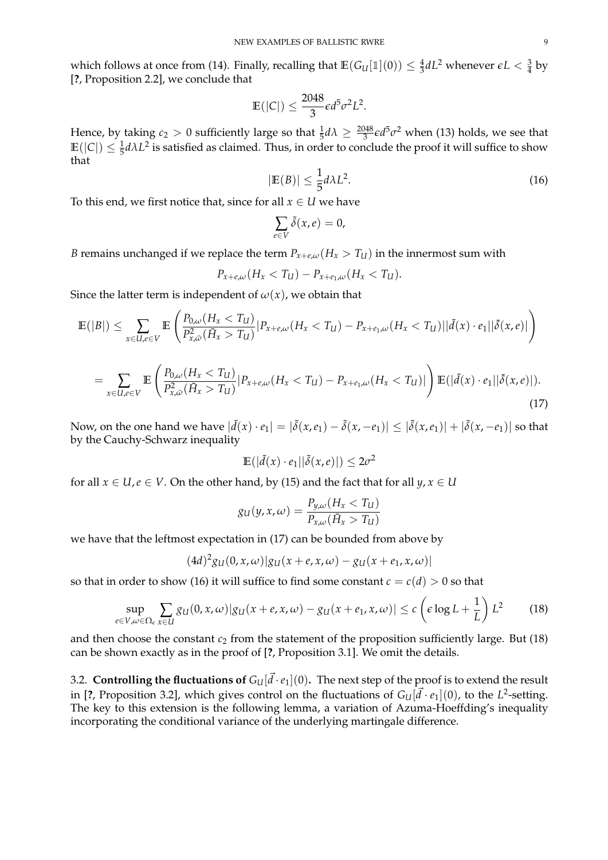which follows at once from (14). Finally, recalling that  $\mathbb{E}(G_U[\mathbb{1}](0)) \leq \frac{4}{3}dL^2$  whenever  $\epsilon L < \frac{3}{4}$  by [**?**, Proposition 2.2], we conclude that

$$
\mathbb{E}(|C|) \le \frac{2048}{3} \epsilon d^5 \sigma^2 L^2.
$$

Hence, by taking  $c_2 > 0$  sufficiently large so that  $\frac{1}{5}d\lambda \geq \frac{2048}{3}\epsilon d^5\sigma^2$  when (13) holds, we see that  $E(|C|) \leq \frac{1}{5} d\lambda L^2$  is satisfied as claimed. Thus, in order to conclude the proof it will suffice to show that

$$
|\mathbb{E}(B)| \le \frac{1}{5} d\lambda L^2. \tag{16}
$$

To this end, we first notice that, since for all  $x \in U$  we have

$$
\sum_{e \in V} \tilde{\delta}(x, e) = 0,
$$

*B* remains unchanged if we replace the term  $P_{x+\ell,\omega}(H_x > T_U)$  in the innermost sum with

$$
P_{x+e,\omega}(H_x < T_U) - P_{x+e_1,\omega}(H_x < T_U).
$$

Since the latter term is independent of  $\omega(x)$ , we obtain that

$$
\mathbb{E}(|B|) \leq \sum_{x \in U, e \in V} \mathbb{E}\left(\frac{P_{0,\omega}(H_x < T_U)}{P_{x,\varpi}^2(\tilde{H}_x > T_U)} |P_{x+e,\omega}(H_x < T_U) - P_{x+e_1,\omega}(H_x < T_U)||\tilde{d}(x) \cdot e_1||\tilde{\delta}(x,e)|\right)
$$

$$
= \sum_{x \in U, e \in V} \mathbb{E}\left(\frac{P_{0,\omega}(H_x < T_U)}{P_{x,\bar{\omega}}^2(\tilde{H}_x > T_U)} |P_{x+e,\omega}(H_x < T_U) - P_{x+e_1,\omega}(H_x < T_U)|\right) \mathbb{E}(|\tilde{d}(x) \cdot e_1||\tilde{\delta}(x,e)|). \tag{17}
$$

Now, on the one hand we have  $|\tilde{d}(x)\cdot e_1|=|\tilde{\delta}(x,e_1)-\tilde{\delta}(x,-e_1)|\leq |\tilde{\delta}(x,e_1)|+|\tilde{\delta}(x,-e_1)|$  so that by the Cauchy-Schwarz inequality

$$
\mathbb{E}(|\tilde{d}(x) \cdot e_1||\tilde{\delta}(x, e)|) \le 2\sigma^2
$$

for all  $x \in U$ ,  $e \in V$ . On the other hand, by (15) and the fact that for all  $y, x \in U$ 

$$
g_{U}(y, x, \omega) = \frac{P_{y, \omega}(H_x < T_U)}{P_{x, \omega}(\tilde{H}_x > T_U)}
$$

we have that the leftmost expectation in (17) can be bounded from above by

$$
(4d)^{2}g_{U}(0,x,\omega)|g_{U}(x+e,x,\omega)-g_{U}(x+e_{1},x,\omega)|
$$

so that in order to show (16) it will suffice to find some constant  $c = c(d) > 0$  so that

$$
\sup_{e \in V, \omega \in \Omega_e} \sum_{x \in U} g_U(0, x, \omega) |g_U(x + e, x, \omega) - g_U(x + e_1, x, \omega)| \le c \left( \epsilon \log L + \frac{1}{L} \right) L^2 \tag{18}
$$

and then choose the constant  $c_2$  from the statement of the proposition sufficiently large. But (18) can be shown exactly as in the proof of [**?**, Proposition 3.1]. We omit the details.

3.2. **Controlling the fluctuations of**  $G_U[\vec{d} \cdot e_1](0)$ . The next step of the proof is to extend the result in [?, Proposition 3.2], which gives control on the fluctuations of  $G_U[\vec{d}\cdot e_1](0)$ , to the  $L^2$ -setting. The key to this extension is the following lemma, a variation of Azuma-Hoeffding's inequality incorporating the conditional variance of the underlying martingale difference.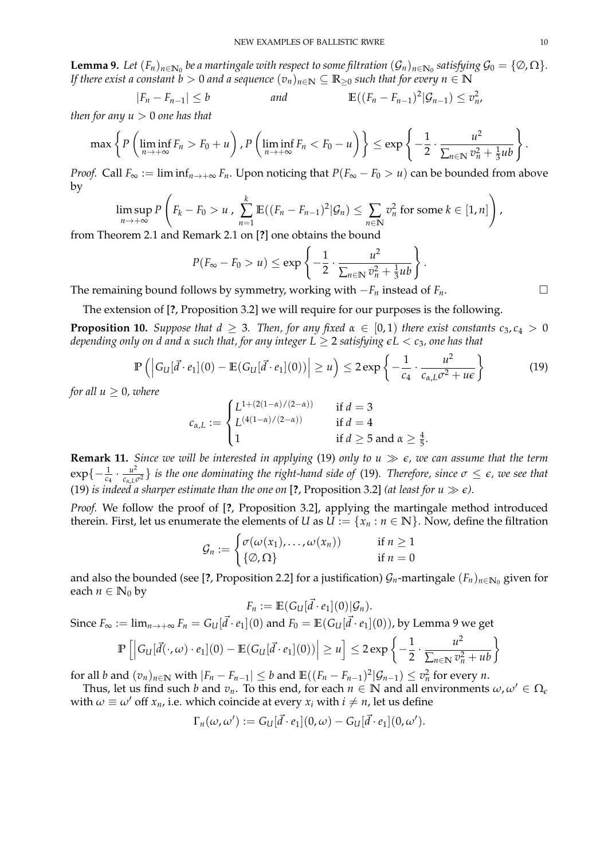**Lemma 9.** Let  $(F_n)_{n\in\mathbb{N}_0}$  be a martingale with respect to some filtration  $(\mathcal{G}_n)_{n\in\mathbb{N}_0}$  satisfying  $\mathcal{G}_0=\{\emptyset,\Omega\}.$ *If there exist a constant b* > 0 *and a sequence*  $(v_n)_{n \in \mathbb{N}} \subseteq \mathbb{R}_{\geq 0}$  *such that for every*  $n \in \mathbb{N}$ 

$$
|F_n - F_{n-1}| \le b \qquad \text{and} \qquad \mathbb{E}((F_n - F_{n-1})^2 | \mathcal{G}_{n-1}) \le v_n^2
$$

*then for any*  $u > 0$  *one has that* 

$$
\max\left\{P\left(\liminf_{n\to+\infty}F_n>F_0+u\right),P\left(\liminf_{n\to+\infty}F_n
$$

*Proof.* Call  $F_{\infty} := \liminf_{n \to +\infty} F_n$ . Upon noticing that  $P(F_{\infty} - F_0 > u)$  can be bounded from above by

$$
\limsup_{n\to+\infty} P\left(F_k-F_0>u\ ,\ \sum_{n=1}^k\mathbb{E}((F_n-F_{n-1})^2|\mathcal{G}_n)\leq \sum_{n\in\mathbb{N}}v_n^2\ \text{for some}\ k\in[1,n]\right),
$$

from Theorem 2.1 and Remark 2.1 on [**?**] one obtains the bound

$$
P(F_{\infty}-F_0>u)\leq \exp\left\{-\frac{1}{2}\cdot \frac{u^2}{\sum_{n\in\mathbb{N}}v_n^2+\frac{1}{3}ub}\right\}.
$$

The remaining bound follows by symmetry, working with  $-F_n$  instead of  $F_n$ .

The extension of [**?**, Proposition 3.2] we will require for our purposes is the following.

**Proposition 10.** *Suppose that*  $d \geq 3$ *. Then, for any fixed*  $\alpha \in [0,1)$  *there exist constants*  $c_3, c_4 > 0$ *depending only on d and α such that, for any integer L* ≥ 2 *satisfying eL* < *c*3*, one has that*

$$
\mathbb{P}\left(\left|G_U[\vec{d}\cdot e_1](0) - \mathbb{E}(G_U[\vec{d}\cdot e_1](0))\right| \ge u\right) \le 2\exp\left\{-\frac{1}{c_4} \cdot \frac{u^2}{c_{\alpha,L}\sigma^2 + u\epsilon}\right\} \tag{19}
$$

*for all*  $u \geq 0$ *, where* 

$$
c_{\alpha,L} := \begin{cases} L^{1+(2(1-\alpha)/(2-\alpha))} & \text{if } d = 3\\ L^{(4(1-\alpha)/(2-\alpha))} & \text{if } d = 4\\ 1 & \text{if } d \ge 5 \text{ and } \alpha \ge \frac{4}{5}.\end{cases}
$$

**Remark 11.** *Since we will be interested in applying* (19) *only to*  $u \gg \epsilon$ *, we can assume that the term*  $\exp\{-\frac{1}{c_4}\cdot\frac{u^2}{c_{\alpha,L^i}}$  $\frac{u^2}{c_{\alpha,L}\sigma^2}$  *is the one dominating the right-hand side of* (19). Therefore, since  $\sigma \leq \epsilon$ , we see that (19) *is indeed a sharper estimate than the one on* [?, Proposition 3.2] *(at least for*  $u \gg \epsilon$ *)*.

*Proof.* We follow the proof of [**?**, Proposition 3.2], applying the martingale method introduced therein. First, let us enumerate the elements of *U* as  $U := \{x_n : n \in \mathbb{N}\}\.$  Now, define the filtration

$$
\mathcal{G}_n := \begin{cases} \sigma(\omega(x_1), \dots, \omega(x_n)) & \text{if } n \ge 1 \\ \{\emptyset, \Omega\} & \text{if } n = 0 \end{cases}
$$

and also the bounded (see [?, Proposition 2.2] for a justification)  $\mathcal{G}_n$ -martingale  $(F_n)_{n\in\mathbb{N}_0}$  given for each  $n \in \mathbb{N}_0$  by

$$
F_n := \mathbb{E}(G_U[\vec{d}\cdot e_1](0)|\mathcal{G}_n).
$$

Since  $F_{\infty} := \lim_{n \to +\infty} F_n = G_U[\vec{d} \cdot e_1](0)$  and  $F_0 = \mathbb{E}(G_U[\vec{d} \cdot e_1](0))$ , by Lemma 9 we get 2

$$
\mathbb{P}\left[\left|G_U[\vec{d}(\cdot,\omega)\cdot e_1](0) - \mathbb{E}(G_U[\vec{d}\cdot e_1](0))\right| \geq u\right] \leq 2\exp\left\{-\frac{1}{2}\cdot\frac{u^2}{\sum_{n\in\mathbb{N}}v_n^2 + ub}\right\}
$$

for all *b* and  $(v_n)_{n\in\mathbb{N}}$  with  $|F_n-F_{n-1}|\leq b$  and  $\mathbb{E}((F_n-F_{n-1})^2|\mathcal{G}_{n-1})\leq v_n^2$  for every *n*.

Thus, let us find such *b* and  $v_n$ . To this end, for each  $n \in \mathbb{N}$  and all environments  $\omega, \omega' \in \Omega_{\epsilon}$ with  $\omega \equiv \omega'$  off  $x_n$ , i.e. which coincide at every  $x_i$  with  $i \neq n$ , let us define

$$
\Gamma_n(\omega,\omega') := G_U[\vec{d}\cdot e_1](0,\omega) - G_U[\vec{d}\cdot e_1](0,\omega').
$$

,